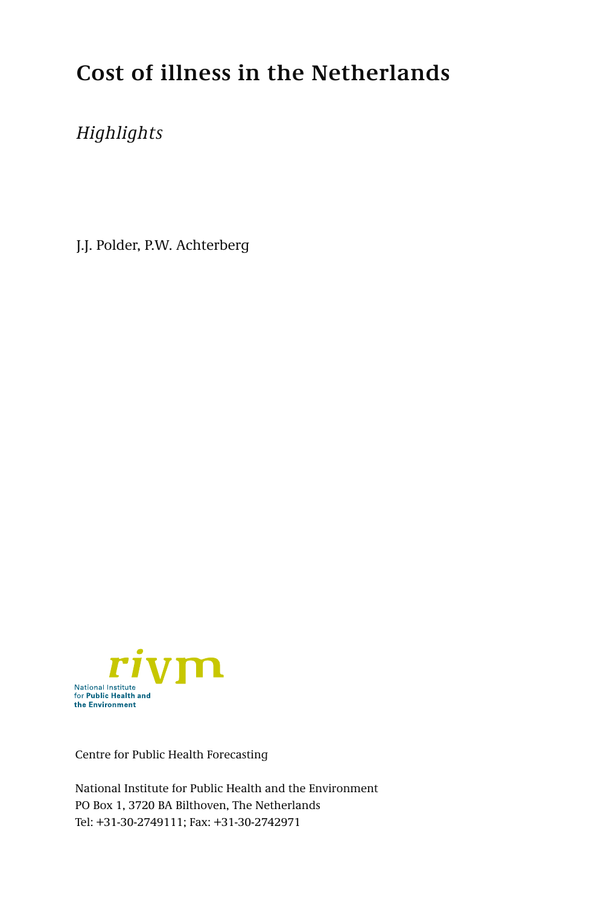# **Cost of illness in the Netherlands**

# *Highlights*

J.J. Polder, P.W. Achterberg



Centre for Public Health Forecasting

National Institute for Public Health and the Environment PO Box 1, 3720 BA Bilthoven, The Netherlands Tel: +31-30-2749111; Fax: +31-30-2742971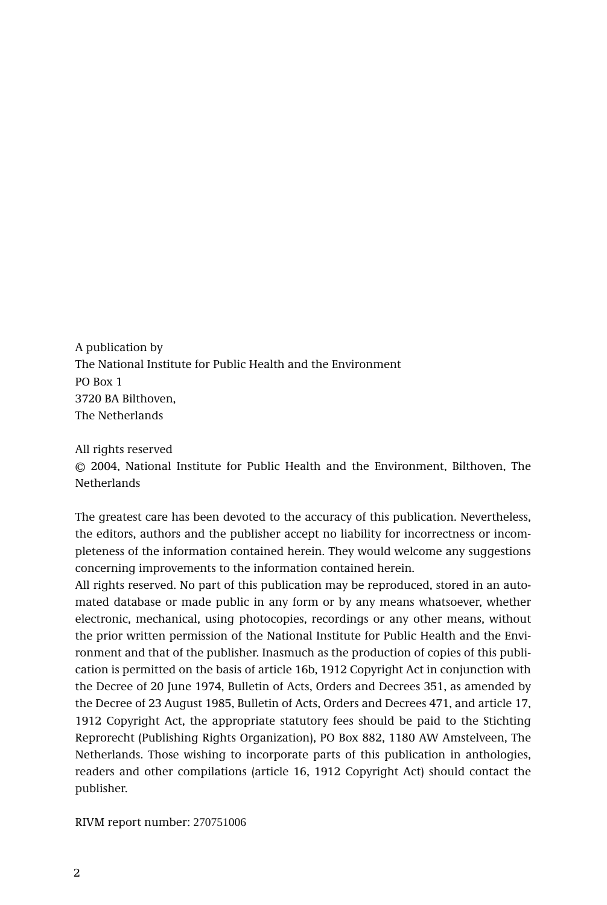A publication by The National Institute for Public Health and the Environment PO Box 1 3720 BA Bilthoven, The Netherlands

#### All rights reserved

© 2004, National Institute for Public Health and the Environment, Bilthoven, The **Netherlands** 

The greatest care has been devoted to the accuracy of this publication. Nevertheless, the editors, authors and the publisher accept no liability for incorrectness or incompleteness of the information contained herein. They would welcome any suggestions concerning improvements to the information contained herein.

All rights reserved. No part of this publication may be reproduced, stored in an automated database or made public in any form or by any means whatsoever, whether electronic, mechanical, using photocopies, recordings or any other means, without the prior written permission of the National Institute for Public Health and the Environment and that of the publisher. Inasmuch as the production of copies of this publication is permitted on the basis of article 16b, 1912 Copyright Act in conjunction with the Decree of 20 June 1974, Bulletin of Acts, Orders and Decrees 351, as amended by the Decree of 23 August 1985, Bulletin of Acts, Orders and Decrees 471, and article 17, 1912 Copyright Act, the appropriate statutory fees should be paid to the Stichting Reprorecht (Publishing Rights Organization), PO Box 882, 1180 AW Amstelveen, The Netherlands. Those wishing to incorporate parts of this publication in anthologies, readers and other compilations (article 16, 1912 Copyright Act) should contact the publisher.

RIVM report number: 270751006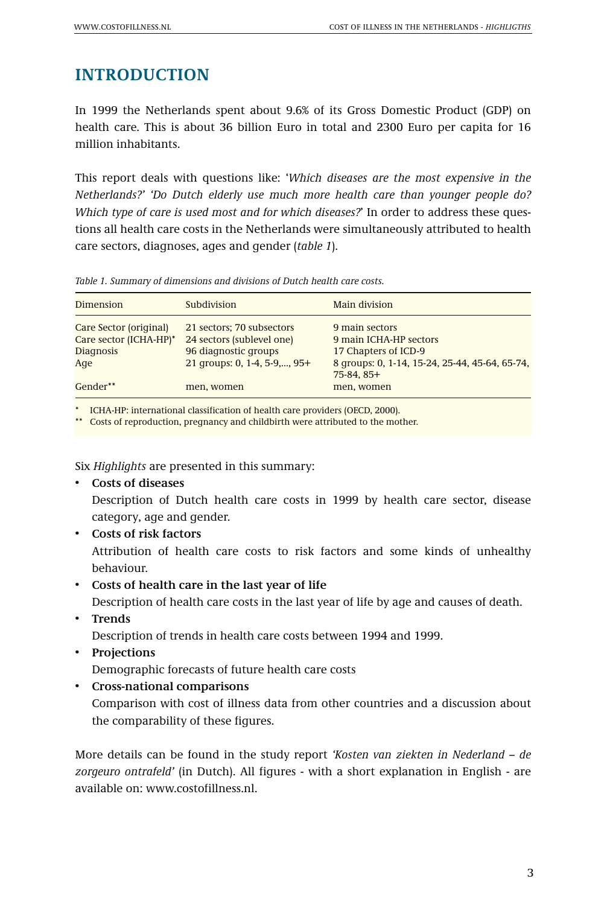# **INTRODUCTION**

In 1999 the Netherlands spent about 9.6% of its Gross Domestic Product (GDP) on health care. This is about 36 billion Euro in total and 2300 Euro per capita for 16 million inhabitants.

This report deals with questions like: '*Which diseases are the most expensive in the Netherlands?' 'Do Dutch elderly use much more health care than younger people do? Which type of care is used most and for which diseases?*' In order to address these questions all health care costs in the Netherlands were simultaneously attributed to health care sectors, diagnoses, ages and gender (*table 1*).

*Table 1. Summary of dimensions and divisions of Dutch health care costs.*

| Dimension              | Subdivision                  | Main division                                                 |
|------------------------|------------------------------|---------------------------------------------------------------|
| Care Sector (original) | 21 sectors; 70 subsectors    | 9 main sectors                                                |
| Care sector (ICHA-HP)* | 24 sectors (sublevel one)    | 9 main ICHA-HP sectors                                        |
| <b>Diagnosis</b>       | 96 diagnostic groups         | 17 Chapters of ICD-9                                          |
| Age                    | 21 qroups: 0, 1-4, 5-9,, 95+ | 8 groups: 0, 1-14, 15-24, 25-44, 45-64, 65-74,<br>$75-84.85+$ |
| $Gender^{**}$          | men, women                   | men, women                                                    |
|                        |                              |                                                               |

\* ICHA-HP: international classification of health care providers (OECD, 2000).

\*\* Costs of reproduction, pregnancy and childbirth were attributed to the mother.

Six *Highlights* are presented in this summary:

• **Costs of diseases**

Description of Dutch health care costs in 1999 by health care sector, disease category, age and gender.

- **Costs of risk factors** Attribution of health care costs to risk factors and some kinds of unhealthy behaviour.
- **Costs of health care in the last year of life**

Description of health care costs in the last year of life by age and causes of death.

• **Trends** 

Description of trends in health care costs between 1994 and 1999.

• **Projections**

Demographic forecasts of future health care costs

• **Cross-national comparisons**

Comparison with cost of illness data from other countries and a discussion about the comparability of these figures.

More details can be found in the study report *'Kosten van ziekten in Nederland – de zorgeuro ontrafeld'* (in Dutch). All figures - with a short explanation in English - are available on: www.costofillness.nl.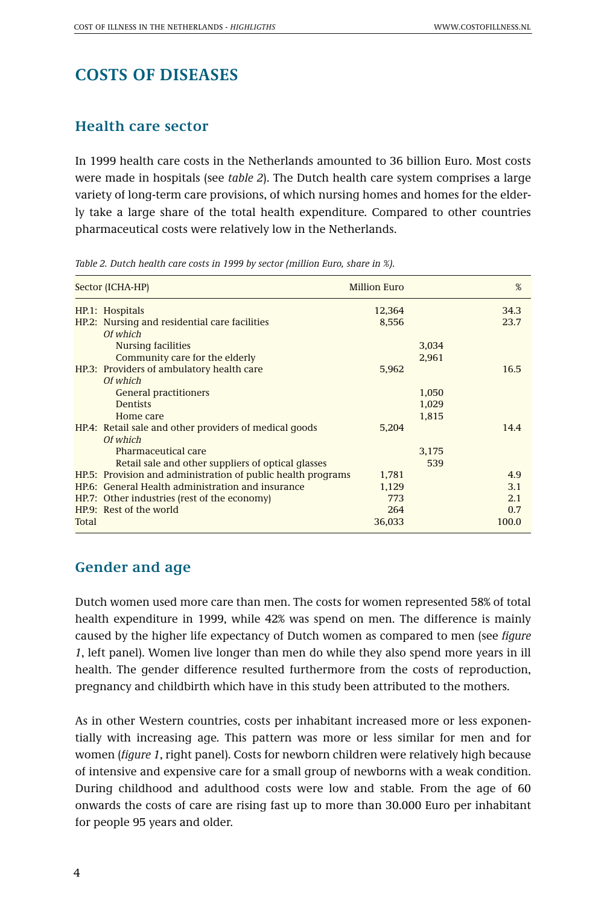# **COSTS OF DISEASES**

#### **Health care sector**

In 1999 health care costs in the Netherlands amounted to 36 billion Euro. Most costs were made in hospitals (see *table 2*). The Dutch health care system comprises a large variety of long-term care provisions, of which nursing homes and homes for the elderly take a large share of the total health expenditure. Compared to other countries pharmaceutical costs were relatively low in the Netherlands.

*Table 2. Dutch health care costs in 1999 by sector (million Euro, share in %).*

|       | Sector (ICHA-HP)                                                                      | <b>Million Euro</b> |                | %            |
|-------|---------------------------------------------------------------------------------------|---------------------|----------------|--------------|
|       | HP.1: Hospitals                                                                       | 12,364              |                | 34.3         |
|       | HP.2: Nursing and residential care facilities<br>Of which                             | 8,556               |                | 23.7         |
|       | <b>Nursing facilities</b><br>Community care for the elderly                           |                     | 3,034<br>2,961 |              |
|       | HP.3: Providers of ambulatory health care<br>Of which                                 | 5,962               |                | 16.5         |
|       | <b>General practitioners</b><br><b>Dentists</b>                                       |                     | 1,050<br>1,029 |              |
|       | Home care<br>HP.4: Retail sale and other providers of medical goods                   | 5,204               | 1.815          | 14.4         |
|       | Of which<br>Pharmaceutical care<br>Retail sale and other suppliers of optical glasses |                     | 3.175<br>539   |              |
|       | HP.5: Provision and administration of public health programs                          | 1,781               |                | 4.9          |
|       | HP.6: General Health administration and insurance                                     | 1,129               |                | 3.1          |
|       | HP.7: Other industries (rest of the economy)                                          | 773                 |                | 2.1          |
| Total | HP.9: Rest of the world                                                               | 264<br>36,033       |                | 0.7<br>100.0 |

#### **Gender and age**

Dutch women used more care than men. The costs for women represented 58% of total health expenditure in 1999, while 42% was spend on men. The difference is mainly caused by the higher life expectancy of Dutch women as compared to men (see *figure 1*, left panel). Women live longer than men do while they also spend more years in ill health. The gender difference resulted furthermore from the costs of reproduction, pregnancy and childbirth which have in this study been attributed to the mothers.

As in other Western countries, costs per inhabitant increased more or less exponentially with increasing age. This pattern was more or less similar for men and for women (*figure 1*, right panel). Costs for newborn children were relatively high because of intensive and expensive care for a small group of newborns with a weak condition. During childhood and adulthood costs were low and stable. From the age of 60 onwards the costs of care are rising fast up to more than 30.000 Euro per inhabitant for people 95 years and older.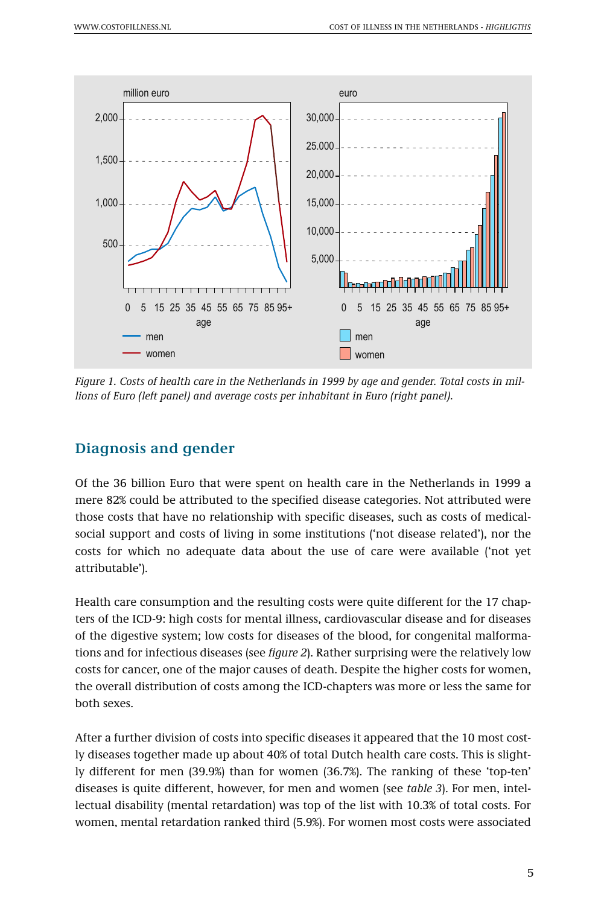

*Figure 1. Costs of health care in the Netherlands in 1999 by age and gender. Total costs in millions of Euro (left panel) and average costs per inhabitant in Euro (right panel).* 

### **Diagnosis and gender**

Of the 36 billion Euro that were spent on health care in the Netherlands in 1999 a mere 82% could be attributed to the specified disease categories. Not attributed were those costs that have no relationship with specific diseases, such as costs of medicalsocial support and costs of living in some institutions ('not disease related'), nor the costs for which no adequate data about the use of care were available ('not yet attributable').

Health care consumption and the resulting costs were quite different for the 17 chapters of the ICD-9: high costs for mental illness, cardiovascular disease and for diseases of the digestive system; low costs for diseases of the blood, for congenital malformations and for infectious diseases (see *figure 2*). Rather surprising were the relatively low costs for cancer, one of the major causes of death. Despite the higher costs for women, the overall distribution of costs among the ICD-chapters was more or less the same for both sexes.

After a further division of costs into specific diseases it appeared that the 10 most costly diseases together made up about 40% of total Dutch health care costs. This is slightly different for men (39.9%) than for women (36.7%). The ranking of these 'top-ten' diseases is quite different, however, for men and women (see *table 3*). For men, intellectual disability (mental retardation) was top of the list with 10.3% of total costs. For women, mental retardation ranked third (5.9%). For women most costs were associated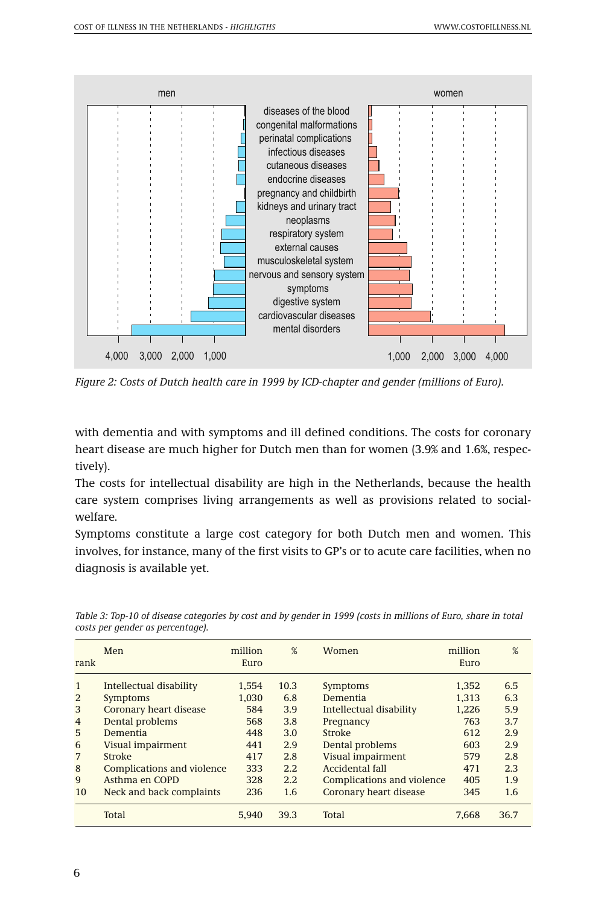

*Figure 2: Costs of Dutch health care in 1999 by ICD-chapter and gender (millions of Euro).* 

with dementia and with symptoms and ill defined conditions. The costs for coronary heart disease are much higher for Dutch men than for women (3.9% and 1.6%, respectively).

The costs for intellectual disability are high in the Netherlands, because the health care system comprises living arrangements as well as provisions related to socialwelfare.

Symptoms constitute a large cost category for both Dutch men and women. This involves, for instance, many of the first visits to GP's or to acute care facilities, when no diagnosis is available yet.

|                | Men                        | million | %    | Women                      | million | %    |
|----------------|----------------------------|---------|------|----------------------------|---------|------|
| rank           |                            | Euro    |      |                            | Euro    |      |
| $\mathbf{1}$   | Intellectual disability    | 1.554   | 10.3 | Symptoms                   | 1.352   | 6.5  |
| 2              | <b>Symptoms</b>            | 1.030   | 6.8  | Dementia                   | 1.313   | 6.3  |
| 3              | Coronary heart disease     | 584     | 3.9  | Intellectual disability    | 1.226   | 5.9  |
| $\overline{4}$ | Dental problems            | 568     | 3.8  | Pregnancy                  | 763     | 3.7  |
| 5              | Dementia                   | 448     | 3.0  | Stroke                     | 612     | 2.9  |
| 6              | Visual impairment          | 441     | 2.9  | Dental problems            | 603     | 2.9  |
| 7              | Stroke                     | 417     | 2.8  | <b>Visual impairment</b>   | 579     | 2.8  |
| 8              | Complications and violence | 333     | 2.2  | Accidental fall            | 471     | 2.3  |
| 9              | Asthma en COPD             | 328     | 2.2  | Complications and violence | 405     | 1.9  |
| 10             | Neck and back complaints   | 236     | 1.6  | Coronary heart disease     | 345     | 1.6  |
|                | Total                      | 5.940   | 39.3 | Total                      | 7.668   | 36.7 |

*Table 3: Top-10 of disease categories by cost and by gender in 1999 (costs in millions of Euro, share in total costs per gender as percentage).*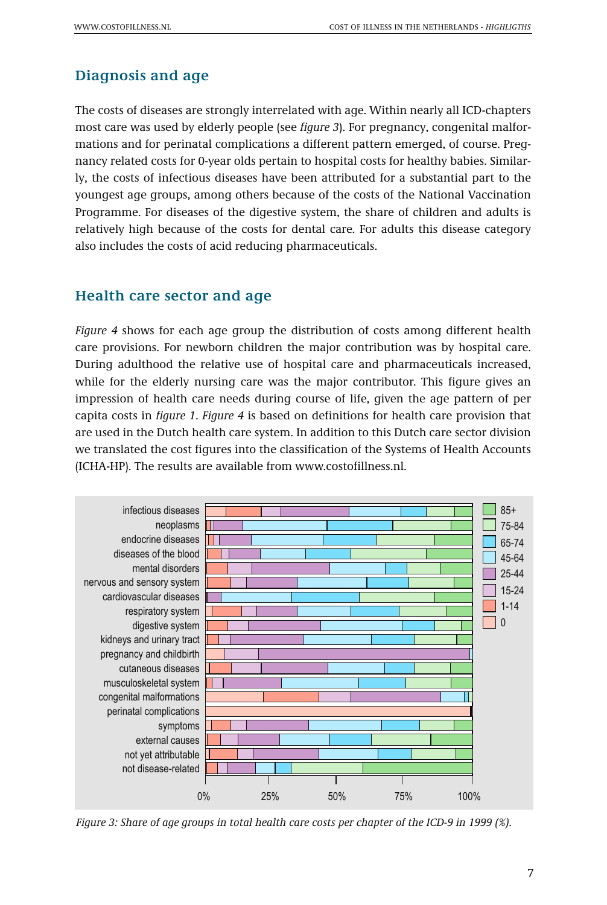## **Diagnosis and age**

The costs of diseases are strongly interrelated with age. Within nearly all ICD-chapters most care was used by elderly people (see *figure 3*). For pregnancy, congenital malformations and for perinatal complications a different pattern emerged, of course. Pregnancy related costs for 0-year olds pertain to hospital costs for healthy babies. Similarly, the costs of infectious diseases have been attributed for a substantial part to the youngest age groups, among others because of the costs of the National Vaccination Programme. For diseases of the digestive system, the share of children and adults is relatively high because of the costs for dental care. For adults this disease category also includes the costs of acid reducing pharmaceuticals.

#### **Health care sector and age**

*Figure 4* shows for each age group the distribution of costs among different health care provisions. For newborn children the major contribution was by hospital care. During adulthood the relative use of hospital care and pharmaceuticals increased, while for the elderly nursing care was the major contributor. This figure gives an impression of health care needs during course of life, given the age pattern of per capita costs in *figure 1*. *Figure 4* is based on definitions for health care provision that are used in the Dutch health care system. In addition to this Dutch care sector division we translated the cost figures into the classification of the Systems of Health Accounts (ICHA-HP). The results are available from www.costofillness.nl.



*Figure 3: Share of age groups in total health care costs per chapter of the ICD-9 in 1999 (%).*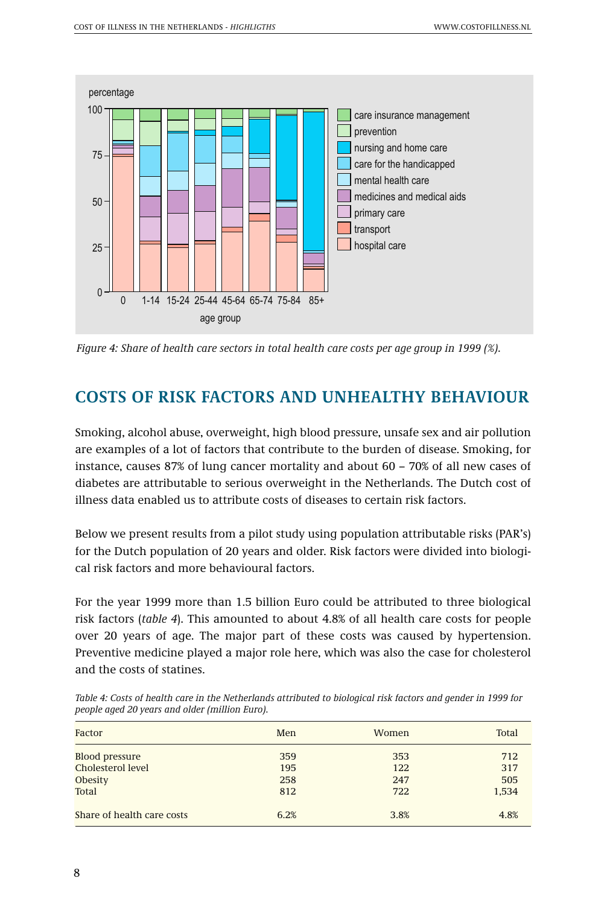

*Figure 4: Share of health care sectors in total health care costs per age group in 1999 (%).*

# **COSTS OF RISK FACTORS AND UNHEALTHY BEHAVIOUR**

Smoking, alcohol abuse, overweight, high blood pressure, unsafe sex and air pollution are examples of a lot of factors that contribute to the burden of disease. Smoking, for instance, causes 87% of lung cancer mortality and about 60 – 70% of all new cases of diabetes are attributable to serious overweight in the Netherlands. The Dutch cost of illness data enabled us to attribute costs of diseases to certain risk factors.

Below we present results from a pilot study using population attributable risks (PAR's) for the Dutch population of 20 years and older. Risk factors were divided into biological risk factors and more behavioural factors.

For the year 1999 more than 1.5 billion Euro could be attributed to three biological risk factors (*table 4*). This amounted to about 4.8% of all health care costs for people over 20 years of age. The major part of these costs was caused by hypertension. Preventive medicine played a major role here, which was also the case for cholesterol and the costs of statines.

| Factor                     | Men  | Women | Total |
|----------------------------|------|-------|-------|
| <b>Blood pressure</b>      | 359  | 353   | 712   |
| Cholesterol level          | 195  | 122   | 317   |
| <b>Obesity</b>             | 258  | 247   | 505   |
| Total                      | 812  | 722   | 1,534 |
| Share of health care costs | 6.2% | 3.8%  | 4.8%  |

*Table 4: Costs of health care in the Netherlands attributed to biological risk factors and gender in 1999 for people aged 20 years and older (million Euro).*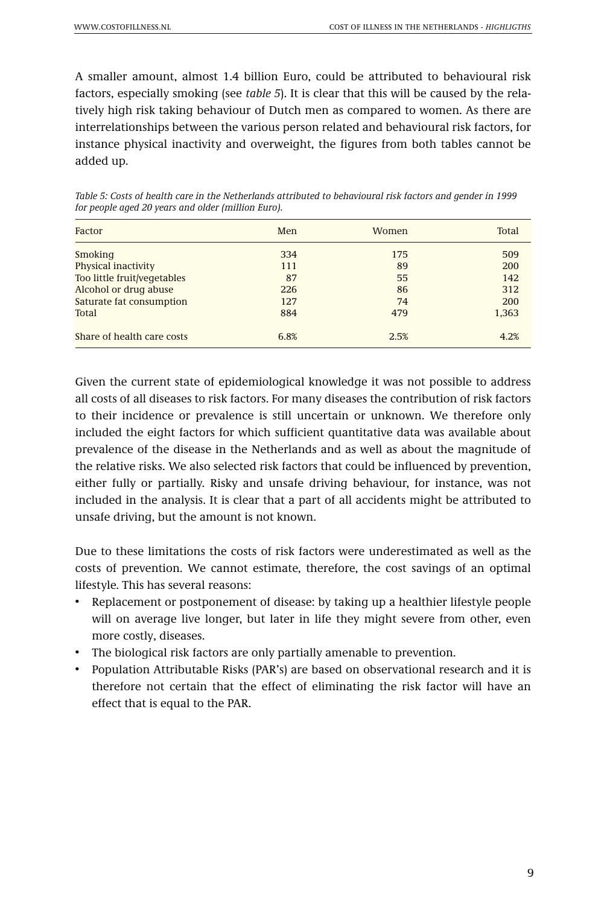A smaller amount, almost 1.4 billion Euro, could be attributed to behavioural risk factors, especially smoking (see *table 5*). It is clear that this will be caused by the relatively high risk taking behaviour of Dutch men as compared to women. As there are interrelationships between the various person related and behavioural risk factors, for instance physical inactivity and overweight, the figures from both tables cannot be added up.

| Factor                      | Men  | Women | Total |
|-----------------------------|------|-------|-------|
| Smoking                     | 334  | 175   | 509   |
| Physical inactivity         | 111  | 89    | 200   |
| Too little fruit/vegetables | 87   | 55    | 142   |
| Alcohol or drug abuse       | 226  | 86    | 312   |
| Saturate fat consumption    | 127  | 74    | 200   |
| Total                       | 884  | 479   | 1,363 |
| Share of health care costs  | 6.8% | 2.5%  | 4.2%  |

*Table 5: Costs of health care in the Netherlands attributed to behavioural risk factors and gender in 1999 for people aged 20 years and older (million Euro).*

Given the current state of epidemiological knowledge it was not possible to address all costs of all diseases to risk factors. For many diseases the contribution of risk factors to their incidence or prevalence is still uncertain or unknown. We therefore only included the eight factors for which sufficient quantitative data was available about prevalence of the disease in the Netherlands and as well as about the magnitude of the relative risks. We also selected risk factors that could be influenced by prevention, either fully or partially. Risky and unsafe driving behaviour, for instance, was not included in the analysis. It is clear that a part of all accidents might be attributed to unsafe driving, but the amount is not known.

Due to these limitations the costs of risk factors were underestimated as well as the costs of prevention. We cannot estimate, therefore, the cost savings of an optimal lifestyle. This has several reasons:

- Replacement or postponement of disease: by taking up a healthier lifestyle people will on average live longer, but later in life they might severe from other, even more costly, diseases.
- The biological risk factors are only partially amenable to prevention.
- Population Attributable Risks (PAR's) are based on observational research and it is therefore not certain that the effect of eliminating the risk factor will have an effect that is equal to the PAR.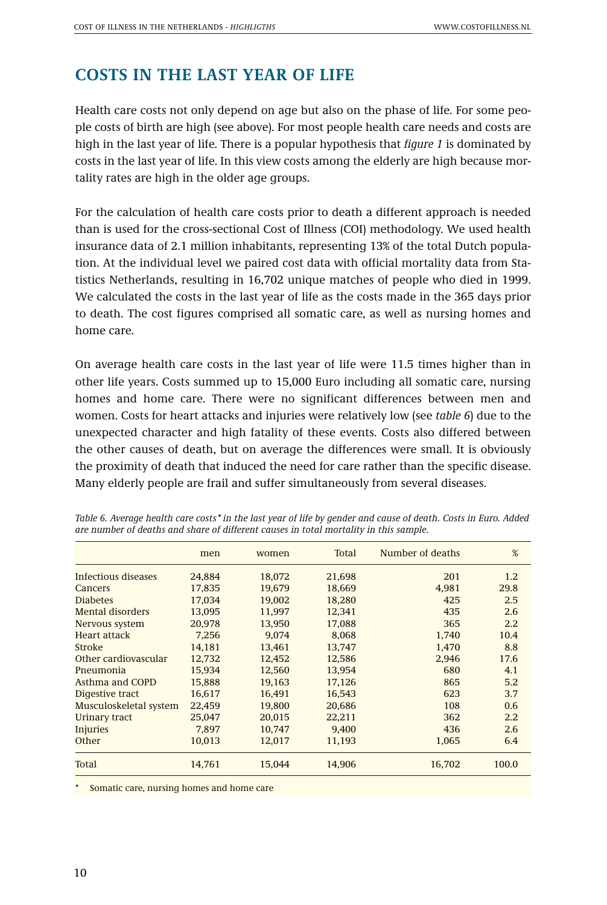# **COSTS IN THE LAST YEAR OF LIFE**

Health care costs not only depend on age but also on the phase of life. For some people costs of birth are high (see above). For most people health care needs and costs are high in the last year of life. There is a popular hypothesis that *figure 1* is dominated by costs in the last year of life. In this view costs among the elderly are high because mortality rates are high in the older age groups.

For the calculation of health care costs prior to death a different approach is needed than is used for the cross-sectional Cost of Illness (COI) methodology. We used health insurance data of 2.1 million inhabitants, representing 13% of the total Dutch population. At the individual level we paired cost data with official mortality data from Statistics Netherlands, resulting in 16,702 unique matches of people who died in 1999. We calculated the costs in the last year of life as the costs made in the 365 days prior to death. The cost figures comprised all somatic care, as well as nursing homes and home care.

On average health care costs in the last year of life were 11.5 times higher than in other life years. Costs summed up to 15,000 Euro including all somatic care, nursing homes and home care. There were no significant differences between men and women. Costs for heart attacks and injuries were relatively low (see *table 6*) due to the unexpected character and high fatality of these events. Costs also differed between the other causes of death, but on average the differences were small. It is obviously the proximity of death that induced the need for care rather than the specific disease. Many elderly people are frail and suffer simultaneously from several diseases.

| men    | women  | Total  | Number of deaths | %                |
|--------|--------|--------|------------------|------------------|
| 24,884 | 18,072 | 21,698 | 201              | 1.2              |
| 17,835 | 19,679 | 18,669 | 4,981            | 29.8             |
| 17.034 | 19,002 | 18,280 | 425              | 2.5              |
| 13.095 | 11.997 | 12.341 | 435              | 2.6              |
| 20.978 | 13.950 | 17,088 | 365              | $2.2\phantom{0}$ |
| 7.256  | 9.074  | 8.068  | 1.740            | 10.4             |
| 14,181 | 13,461 | 13,747 | 1,470            | 8.8              |
| 12,732 | 12.452 | 12,586 | 2.946            | 17.6             |
| 15.934 | 12.560 | 13.954 | 680              | 4.1              |
| 15,888 | 19.163 | 17,126 | 865              | 5.2              |
| 16.617 | 16.491 | 16.543 | 623              | 3.7              |
| 22,459 | 19,800 | 20,686 | 108              | 0.6              |
| 25,047 | 20,015 | 22,211 | 362              | $2.2\phantom{0}$ |
| 7.897  | 10,747 | 9.400  | 436              | 2.6              |
| 10.013 | 12.017 | 11.193 | 1.065            | 6.4              |
| 14,761 | 15,044 | 14,906 | 16,702           | 100.0            |
|        |        |        |                  |                  |

*Table 6. Average health care costs\* in the last year of life by gender and cause of death. Costs in Euro. Added are number of deaths and share of different causes in total mortality in this sample.*

Somatic care, nursing homes and home care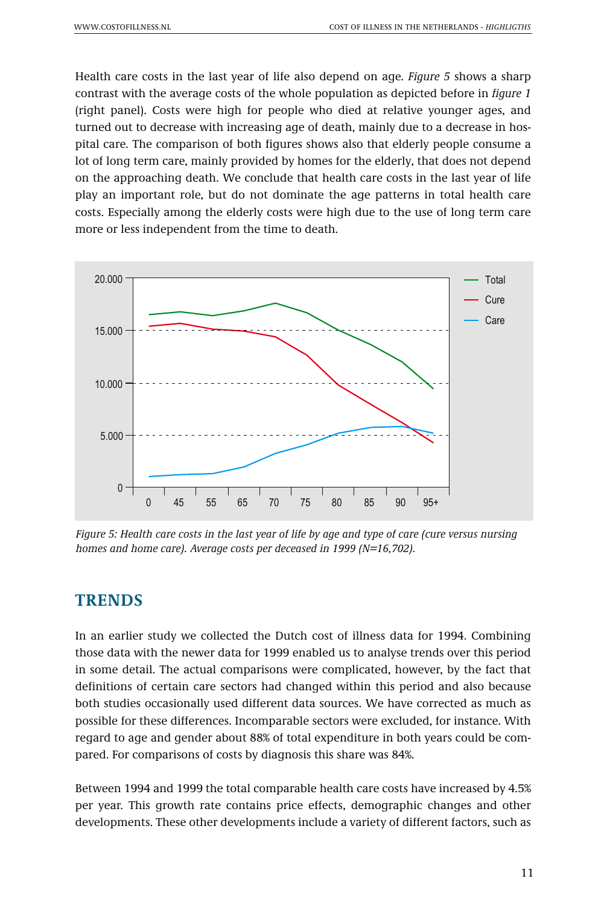Health care costs in the last year of life also depend on age. *Figure 5* shows a sharp contrast with the average costs of the whole population as depicted before in *figure 1* (right panel). Costs were high for people who died at relative younger ages, and turned out to decrease with increasing age of death, mainly due to a decrease in hospital care. The comparison of both figures shows also that elderly people consume a lot of long term care, mainly provided by homes for the elderly, that does not depend on the approaching death. We conclude that health care costs in the last year of life play an important role, but do not dominate the age patterns in total health care costs. Especially among the elderly costs were high due to the use of long term care more or less independent from the time to death.



*Figure 5: Health care costs in the last year of life by age and type of care (cure versus nursing homes and home care). Average costs per deceased in 1999 (N=16,702).* 

## **TRENDS**

In an earlier study we collected the Dutch cost of illness data for 1994. Combining those data with the newer data for 1999 enabled us to analyse trends over this period in some detail. The actual comparisons were complicated, however, by the fact that definitions of certain care sectors had changed within this period and also because both studies occasionally used different data sources. We have corrected as much as possible for these differences. Incomparable sectors were excluded, for instance. With regard to age and gender about 88% of total expenditure in both years could be compared. For comparisons of costs by diagnosis this share was 84%.

Between 1994 and 1999 the total comparable health care costs have increased by 4.5% per year. This growth rate contains price effects, demographic changes and other developments. These other developments include a variety of different factors, such as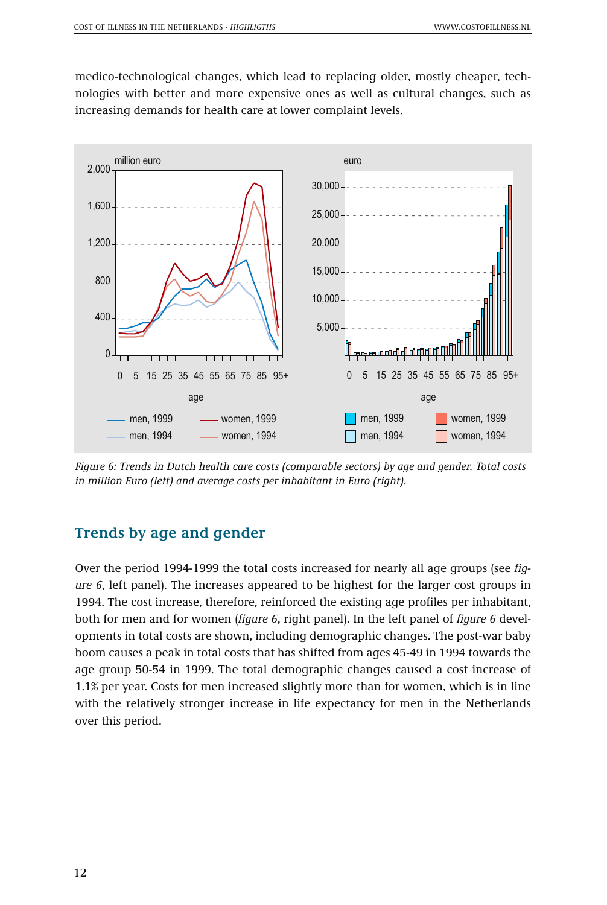medico-technological changes, which lead to replacing older, mostly cheaper, technologies with better and more expensive ones as well as cultural changes, such as increasing demands for health care at lower complaint levels.



*Figure 6: Trends in Dutch health care costs (comparable sectors) by age and gender. Total costs in million Euro (left) and average costs per inhabitant in Euro (right).*

## **Trends by age and gender**

Over the period 1994-1999 the total costs increased for nearly all age groups (see *figure 6*, left panel). The increases appeared to be highest for the larger cost groups in 1994. The cost increase, therefore, reinforced the existing age profiles per inhabitant, both for men and for women (*figure 6*, right panel). In the left panel of *figure 6* developments in total costs are shown, including demographic changes. The post-war baby boom causes a peak in total costs that has shifted from ages 45-49 in 1994 towards the age group 50-54 in 1999. The total demographic changes caused a cost increase of 1.1% per year. Costs for men increased slightly more than for women, which is in line with the relatively stronger increase in life expectancy for men in the Netherlands over this period.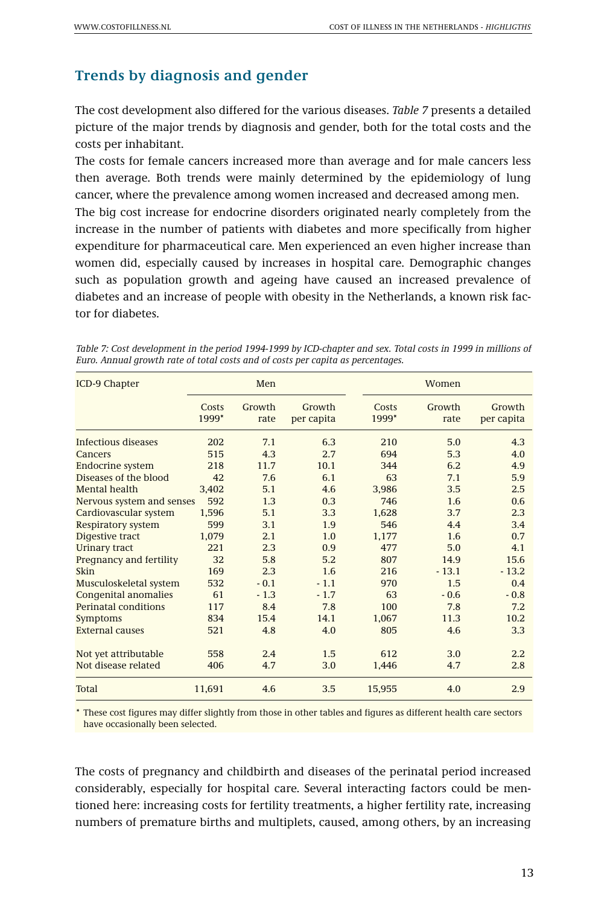### **Trends by diagnosis and gender**

The cost development also differed for the various diseases. *Table 7* presents a detailed picture of the major trends by diagnosis and gender, both for the total costs and the costs per inhabitant.

The costs for female cancers increased more than average and for male cancers less then average. Both trends were mainly determined by the epidemiology of lung cancer, where the prevalence among women increased and decreased among men.

The big cost increase for endocrine disorders originated nearly completely from the increase in the number of patients with diabetes and more specifically from higher expenditure for pharmaceutical care. Men experienced an even higher increase than women did, especially caused by increases in hospital care. Demographic changes such as population growth and ageing have caused an increased prevalence of diabetes and an increase of people with obesity in the Netherlands, a known risk factor for diabetes.

| ICD-9 Chapter               |                | Men            |                      |                |                |                      |
|-----------------------------|----------------|----------------|----------------------|----------------|----------------|----------------------|
|                             | Costs<br>1999* | Growth<br>rate | Growth<br>per capita | Costs<br>1999* | Growth<br>rate | Growth<br>per capita |
| Infectious diseases         | 202            | 7.1            | 6.3                  | 210            | 5.0            | 4.3                  |
| Cancers                     | 515            | 4.3            | 2.7                  | 694            | 5.3            | 4.0                  |
| <b>Endocrine system</b>     | 218            | 11.7           | 10.1                 | 344            | 6.2            | 4.9                  |
| Diseases of the blood       | 42             | 7.6            | 6.1                  | 63             | 7.1            | 5.9                  |
| Mental health               | 3.402          | 5.1            | 4.6                  | 3,986          | 3.5            | 2.5                  |
| Nervous system and senses   | 592            | 1.3            | 0.3                  | 746            | 1.6            | 0.6                  |
| Cardiovascular system       | 1,596          | 5.1            | 3.3                  | 1,628          | 3.7            | 2.3                  |
| <b>Respiratory system</b>   | 599            | 3.1            | 1.9                  | 546            | 4.4            | 3.4                  |
| Digestive tract             | 1.079          | 2.1            | 1.0                  | 1,177          | 1.6            | 0.7                  |
| <b>Urinary tract</b>        | 221            | 2.3            | 0.9                  | 477            | 5.0            | 4.1                  |
| Pregnancy and fertility     | 32             | 5.8            | 5.2                  | 807            | 14.9           | 15.6                 |
| Skin                        | 169            | 2.3            | 1.6                  | 216            | $-13.1$        | $-13.2$              |
| Musculoskeletal system      | 532            | $-0.1$         | $-1.1$               | 970            | 1.5            | 0.4                  |
| <b>Congenital anomalies</b> | 61             | $-1.3$         | $-1.7$               | 63             | $-0.6$         | $-0.8$               |
| Perinatal conditions        | 117            | 8.4            | 7.8                  | 100            | 7.8            | 7.2                  |
| Symptoms                    | 834            | 15.4           | 14.1                 | 1,067          | 11.3           | 10.2                 |
| <b>External causes</b>      | 521            | 4.8            | 4.0                  | 805            | 4.6            | 3.3                  |
| Not yet attributable        | 558            | 2.4            | 1.5                  | 612            | 3.0            | 2.2                  |
| Not disease related         | 406            | 4.7            | 3.0                  | 1.446          | 4.7            | 2.8                  |
| <b>Total</b>                | 11.691         | 4.6            | 3.5                  | 15,955         | 4.0            | 2.9                  |

*Table 7: Cost development in the period 1994-1999 by ICD-chapter and sex. Total costs in 1999 in millions of Euro. Annual growth rate of total costs and of costs per capita as percentages.*

\* These cost figures may differ slightly from those in other tables and figures as different health care sectors have occasionally been selected.

The costs of pregnancy and childbirth and diseases of the perinatal period increased considerably, especially for hospital care. Several interacting factors could be mentioned here: increasing costs for fertility treatments, a higher fertility rate, increasing numbers of premature births and multiplets, caused, among others, by an increasing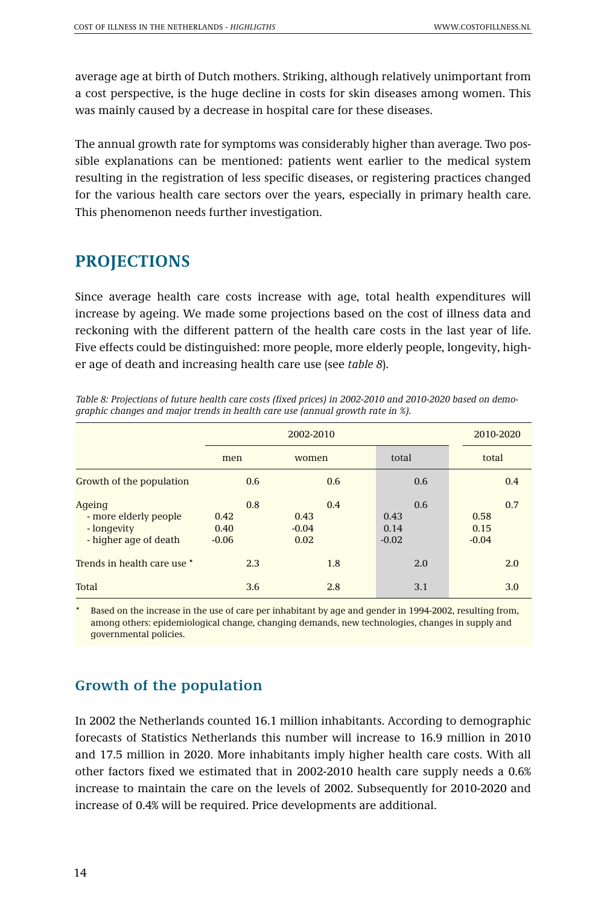average age at birth of Dutch mothers. Striking, although relatively unimportant from a cost perspective, is the huge decline in costs for skin diseases among women. This was mainly caused by a decrease in hospital care for these diseases.

The annual growth rate for symptoms was considerably higher than average. Two possible explanations can be mentioned: patients went earlier to the medical system resulting in the registration of less specific diseases, or registering practices changed for the various health care sectors over the years, especially in primary health care. This phenomenon needs further investigation.

# **PROJECTIONS**

Since average health care costs increase with age, total health expenditures will increase by ageing. We made some projections based on the cost of illness data and reckoning with the different pattern of the health care costs in the last year of life. Five effects could be distinguished: more people, more elderly people, longevity, higher age of death and increasing health care use (see *table 8*).

|                                                                         |                                | 2002-2010                      |                                |                                |  |  |
|-------------------------------------------------------------------------|--------------------------------|--------------------------------|--------------------------------|--------------------------------|--|--|
|                                                                         | men                            | women                          | total                          | total                          |  |  |
| Growth of the population                                                | 0.6                            | 0.6                            | 0.6                            | 0.4                            |  |  |
| Ageing<br>- more elderly people<br>- longevity<br>- higher age of death | 0.8<br>0.42<br>0.40<br>$-0.06$ | 0.4<br>0.43<br>$-0.04$<br>0.02 | 0.6<br>0.43<br>0.14<br>$-0.02$ | 0.7<br>0.58<br>0.15<br>$-0.04$ |  |  |
| Trends in health care use *                                             | 2.3                            | 1.8                            | 2.0                            | 2.0                            |  |  |
| Total                                                                   | 3.6                            | 2.8                            | 3.1                            | 3.0                            |  |  |

*Table 8: Projections of future health care costs (fixed prices) in 2002-2010 and 2010-2020 based on demographic changes and major trends in health care use (annual growth rate in %).* 

Based on the increase in the use of care per inhabitant by age and gender in 1994-2002, resulting from, among others: epidemiological change, changing demands, new technologies, changes in supply and governmental policies.

## **Growth of the population**

In 2002 the Netherlands counted 16.1 million inhabitants. According to demographic forecasts of Statistics Netherlands this number will increase to 16.9 million in 2010 and 17.5 million in 2020. More inhabitants imply higher health care costs. With all other factors fixed we estimated that in 2002-2010 health care supply needs a 0.6% increase to maintain the care on the levels of 2002. Subsequently for 2010-2020 and increase of 0.4% will be required. Price developments are additional.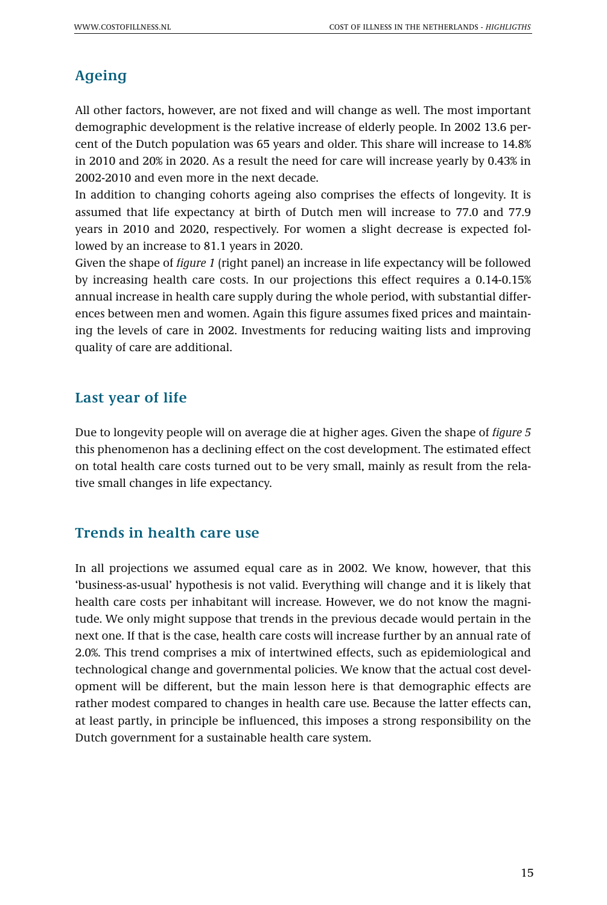# **Ageing**

All other factors, however, are not fixed and will change as well. The most important demographic development is the relative increase of elderly people. In 2002 13.6 percent of the Dutch population was 65 years and older. This share will increase to 14.8% in 2010 and 20% in 2020. As a result the need for care will increase yearly by 0.43% in 2002-2010 and even more in the next decade.

In addition to changing cohorts ageing also comprises the effects of longevity. It is assumed that life expectancy at birth of Dutch men will increase to 77.0 and 77.9 years in 2010 and 2020, respectively. For women a slight decrease is expected followed by an increase to 81.1 years in 2020.

Given the shape of *figure 1* (right panel) an increase in life expectancy will be followed by increasing health care costs. In our projections this effect requires a 0.14-0.15% annual increase in health care supply during the whole period, with substantial differences between men and women. Again this figure assumes fixed prices and maintaining the levels of care in 2002. Investments for reducing waiting lists and improving quality of care are additional.

# **Last year of life**

Due to longevity people will on average die at higher ages. Given the shape of *figure 5* this phenomenon has a declining effect on the cost development. The estimated effect on total health care costs turned out to be very small, mainly as result from the relative small changes in life expectancy.

## **Trends in health care use**

In all projections we assumed equal care as in 2002. We know, however, that this 'business-as-usual' hypothesis is not valid. Everything will change and it is likely that health care costs per inhabitant will increase. However, we do not know the magnitude. We only might suppose that trends in the previous decade would pertain in the next one. If that is the case, health care costs will increase further by an annual rate of 2.0%. This trend comprises a mix of intertwined effects, such as epidemiological and technological change and governmental policies. We know that the actual cost development will be different, but the main lesson here is that demographic effects are rather modest compared to changes in health care use. Because the latter effects can, at least partly, in principle be influenced, this imposes a strong responsibility on the Dutch government for a sustainable health care system.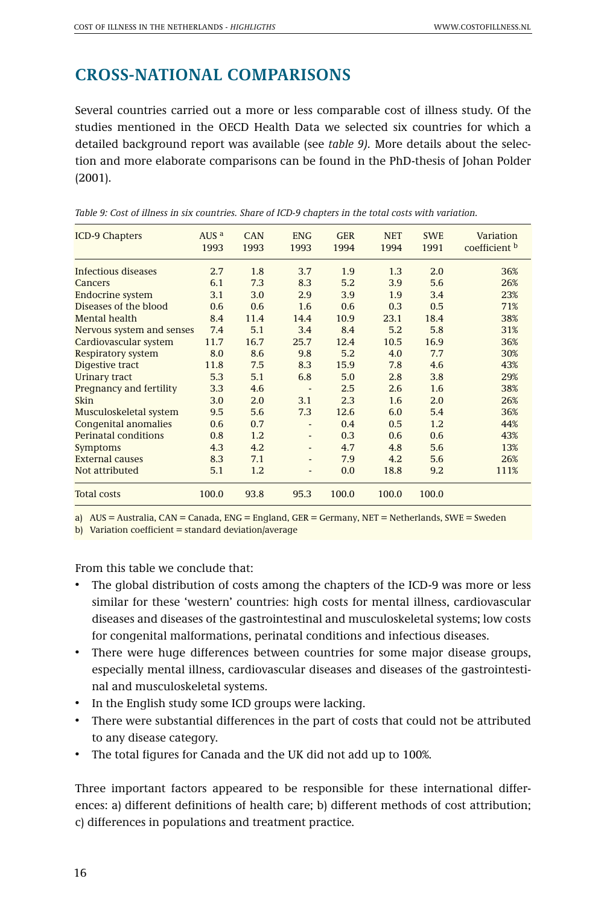# **CROSS-NATIONAL COMPARISONS**

Several countries carried out a more or less comparable cost of illness study. Of the studies mentioned in the OECD Health Data we selected six countries for which a detailed background report was available (see *table 9).* More details about the selection and more elaborate comparisons can be found in the PhD-thesis of Johan Polder (2001).

| <b>ICD-9 Chapters</b>     | AUS <sup>a</sup><br>1993 | <b>CAN</b><br>1993 | <b>ENG</b><br>1993 | <b>GER</b><br>1994 | <b>NET</b><br>1994 | <b>SWE</b><br>1991 | Variation<br>coefficient b |
|---------------------------|--------------------------|--------------------|--------------------|--------------------|--------------------|--------------------|----------------------------|
| Infectious diseases       | 2.7                      | 1.8                | 3.7                | 1.9                | 1.3                | 2.0                | 36%                        |
| Cancers                   | 6.1                      | 7.3                | 8.3                | 5.2                | 3.9                | 5.6                | 26%                        |
| <b>Endocrine system</b>   | 3.1                      | 3.0                | 2.9                | 3.9                | 1.9                | 3.4                | 23%                        |
| Diseases of the blood     | 0.6                      | 0.6                | 1.6                | 0.6                | 0.3                | 0.5                | 71%                        |
| Mental health             | 8.4                      | 11.4               | 14.4               | 10.9               | 23.1               | 18.4               | 38%                        |
| Nervous system and senses | 7.4                      | 5.1                | 3.4                | 8.4                | 5.2                | 5.8                | 31%                        |
| Cardiovascular system     | 11.7                     | 16.7               | 25.7               | 12.4               | 10.5               | 16.9               | 36%                        |
| <b>Respiratory system</b> | 8.0                      | 8.6                | 9.8                | 5.2                | 4.0                | 7.7                | 30%                        |
| Digestive tract           | 11.8                     | 7.5                | 8.3                | 15.9               | 7.8                | 4.6                | 43%                        |
| Urinary tract             | 5.3                      | 5.1                | 6.8                | 5.0                | 2.8                | 3.8                | 29%                        |
| Pregnancy and fertility   | 3.3                      | 4.6                |                    | 2.5                | 2.6                | 1.6                | 38%                        |
| Skin                      | 3.0                      | 2.0                | 3.1                | 2.3                | 1.6                | 2.0                | 26%                        |
| Musculoskeletal system    | 9.5                      | 5.6                | 7.3                | 12.6               | 6.0                | 5.4                | 36%                        |
| Congenital anomalies      | 0.6                      | 0.7                |                    | 0.4                | 0.5                | 1.2                | 44%                        |
| Perinatal conditions      | 0.8                      | 1.2                | ٠                  | 0.3                | 0.6                | 0.6                | 43%                        |
| Symptoms                  | 4.3                      | 4.2                | ٠                  | 4.7                | 4.8                | 5.6                | 13%                        |
| <b>External causes</b>    | 8.3                      | 7.1                |                    | 7.9                | 4.2                | 5.6                | 26%                        |
| Not attributed            | 5.1                      | 1.2                | ٠                  | 0.0                | 18.8               | 9.2                | 111%                       |
| <b>Total costs</b>        | 100.0                    | 93.8               | 95.3               | 100.0              | 100.0              | 100.0              |                            |

*Table 9: Cost of illness in six countries. Share of ICD-9 chapters in the total costs with variation.*

a) AUS = Australia, CAN = Canada, ENG = England, GER = Germany, NET = Netherlands, SWE = Sweden

b) Variation coefficient = standard deviation/average

From this table we conclude that:

- The global distribution of costs among the chapters of the ICD-9 was more or less similar for these 'western' countries: high costs for mental illness, cardiovascular diseases and diseases of the gastrointestinal and musculoskeletal systems; low costs for congenital malformations, perinatal conditions and infectious diseases.
- There were huge differences between countries for some major disease groups, especially mental illness, cardiovascular diseases and diseases of the gastrointestinal and musculoskeletal systems.
- In the English study some ICD groups were lacking.
- There were substantial differences in the part of costs that could not be attributed to any disease category.
- The total figures for Canada and the UK did not add up to 100%.

Three important factors appeared to be responsible for these international differences: a) different definitions of health care; b) different methods of cost attribution; c) differences in populations and treatment practice.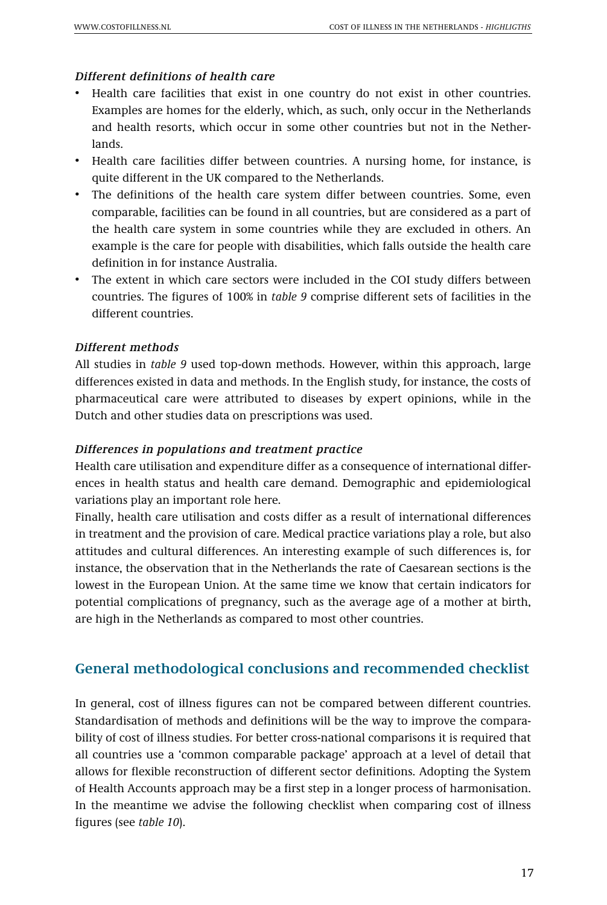#### *Different definitions of health care*

- Health care facilities that exist in one country do not exist in other countries. Examples are homes for the elderly, which, as such, only occur in the Netherlands and health resorts, which occur in some other countries but not in the Netherlands.
- Health care facilities differ between countries. A nursing home, for instance, is quite different in the UK compared to the Netherlands.
- The definitions of the health care system differ between countries. Some, even comparable, facilities can be found in all countries, but are considered as a part of the health care system in some countries while they are excluded in others. An example is the care for people with disabilities, which falls outside the health care definition in for instance Australia.
- The extent in which care sectors were included in the COI study differs between countries. The figures of 100% in *table 9* comprise different sets of facilities in the different countries.

#### *Different methods*

All studies in *table 9* used top-down methods. However, within this approach, large differences existed in data and methods. In the English study, for instance, the costs of pharmaceutical care were attributed to diseases by expert opinions, while in the Dutch and other studies data on prescriptions was used.

#### *Differences in populations and treatment practice*

Health care utilisation and expenditure differ as a consequence of international differences in health status and health care demand. Demographic and epidemiological variations play an important role here.

Finally, health care utilisation and costs differ as a result of international differences in treatment and the provision of care. Medical practice variations play a role, but also attitudes and cultural differences. An interesting example of such differences is, for instance, the observation that in the Netherlands the rate of Caesarean sections is the lowest in the European Union. At the same time we know that certain indicators for potential complications of pregnancy, such as the average age of a mother at birth, are high in the Netherlands as compared to most other countries.

## **General methodological conclusions and recommended checklist**

In general, cost of illness figures can not be compared between different countries. Standardisation of methods and definitions will be the way to improve the comparability of cost of illness studies. For better cross-national comparisons it is required that all countries use a 'common comparable package' approach at a level of detail that allows for flexible reconstruction of different sector definitions. Adopting the System of Health Accounts approach may be a first step in a longer process of harmonisation. In the meantime we advise the following checklist when comparing cost of illness figures (see *table 10*).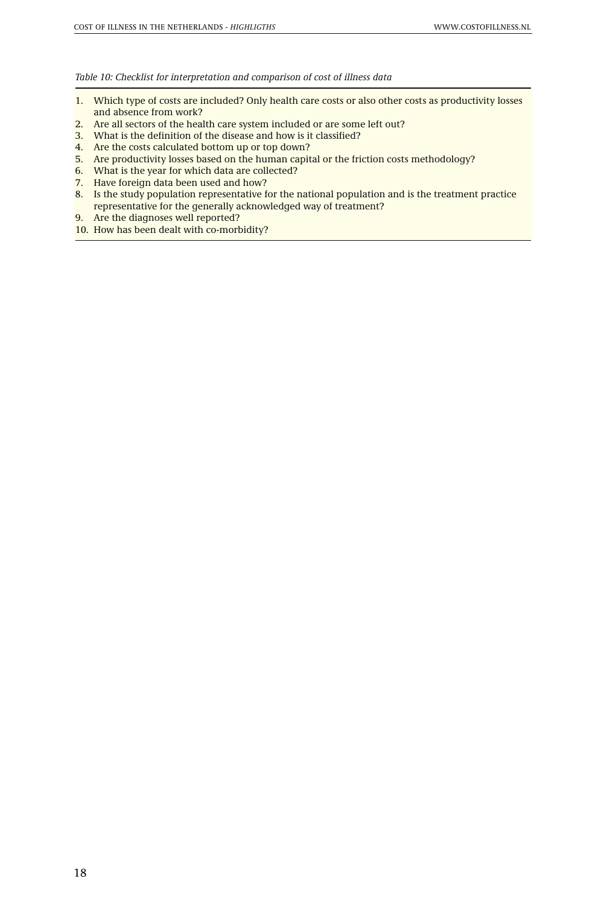#### *Table 10: Checklist for interpretation and comparison of cost of illness data*

- 1. Which type of costs are included? Only health care costs or also other costs as productivity losses and absence from work?
- 2. Are all sectors of the health care system included or are some left out?
- 3. What is the definition of the disease and how is it classified?
- 4. Are the costs calculated bottom up or top down?
- 5. Are productivity losses based on the human capital or the friction costs methodology?
- 6. What is the year for which data are collected?
- 7. Have foreign data been used and how?
- 8. Is the study population representative for the national population and is the treatment practice representative for the generally acknowledged way of treatment?
- 9. Are the diagnoses well reported?
- 10. How has been dealt with co-morbidity?